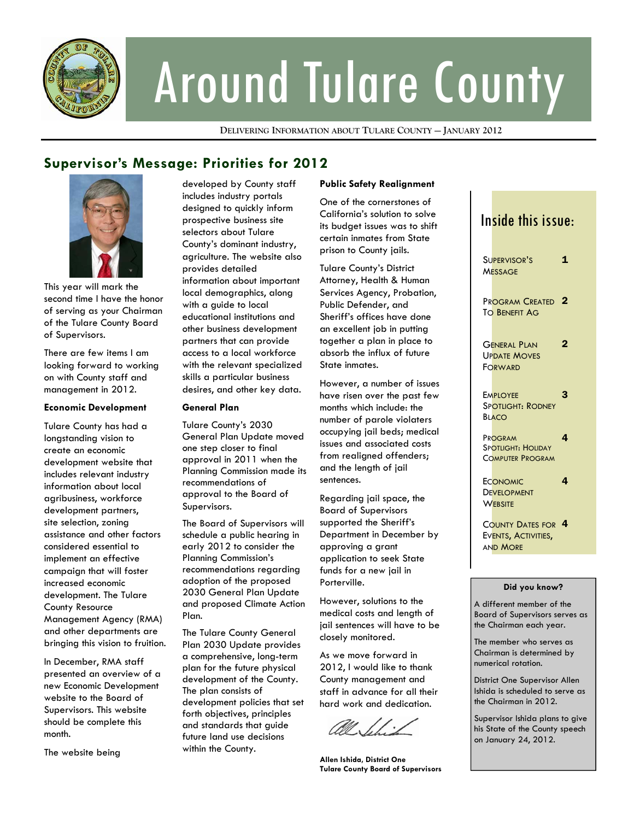

# Around Tulare County

**DELIVERING INFORMATION ABOUT TULARE COUNTY — JANUARY 2012**

## **Supervisor's Message: Priorities for 2012**



This year will mark the second time I have the honor of serving as your Chairman of the Tulare County Board of Supervisors.

There are few items I am looking forward to working on with County staff and management in 2012.

#### **Economic Development**

Tulare County has had a longstanding vision to create an economic development website that includes relevant industry information about local agribusiness, workforce development partners, site selection, zoning assistance and other factors considered essential to implement an effective campaign that will foster increased economic development. The Tulare County Resource Management Agency (RMA) and other departments are bringing this vision to fruition.

In December, RMA staff presented an overview of a new Economic Development website to the Board of Supervisors. This website should be complete this month.

The website being

developed by County staff includes industry portals designed to quickly inform prospective business site selectors about Tulare County's dominant industry, agriculture. The website also provides detailed information about important local demographics, along with a guide to local educational institutions and other business development partners that can provide access to a local workforce with the relevant specialized skills a particular business desires, and other key data.

#### **General Plan**

Tulare County's 2030 General Plan Update moved one step closer to final approval in 2011 when the Planning Commission made its recommendations of approval to the Board of Supervisors.

The Board of Supervisors will schedule a public hearing in early 2012 to consider the Planning Commission's recommendations regarding adoption of the proposed 2030 General Plan Update and proposed Climate Action Plan.

The Tulare County General Plan 2030 Update provides a comprehensive, long-term plan for the future physical development of the County. The plan consists of development policies that set forth objectives, principles and standards that guide future land use decisions within the County.

#### **Public Safety Realignment**

One of the cornerstones of California's solution to solve its budget issues was to shift certain inmates from State prison to County jails.

Tulare County's District Attorney, Health & Human Services Agency, Probation, Public Defender, and Sheriff's offices have done an excellent job in putting together a plan in place to absorb the influx of future State inmates.

However, a number of issues have risen over the past few months which include: the number of parole violaters occupying jail beds; medical issues and associated costs from realigned offenders; and the length of jail sentences.

Regarding jail space, the Board of Supervisors supported the Sheriff's Department in December by approving a grant application to seek State funds for a new jail in Porterville.

However, solutions to the medical costs and length of jail sentences will have to be closely monitored.

As we move forward in 2012, I would like to thank County management and staff in advance for all their hard work and dedication.

**Allen Ishida, District One Tulare County Board of Supervisors** 

## Inside this issue:

| Supervisor's<br><b>MESSAGE</b>                                      | 1              |
|---------------------------------------------------------------------|----------------|
| Pr <mark>ogram Created</mark><br>TO BENEFIT AG                      | $\overline{2}$ |
| <b>GENERAL PLAN</b><br><b>UPDATE MOVES</b><br>FORWARD               | $\overline{2}$ |
| <b>EMPLOYEE</b><br>Spotlight: Rodney<br><b>BLACO</b>                | 3              |
| PROGRAM<br>SPOTLIGHT: HOLIDAY<br><b>COMPUTER PROGRAM</b>            | 4              |
| <b>ECONOMIC</b><br><b>DEVELOPMENT</b><br>WEBSITE                    | 4              |
| COUNTY DATES FOR 4<br>EVENTS, ACTIVITIES,<br>an <mark>d More</mark> |                |
|                                                                     |                |

#### **Did you know?**

A different member of the Board of Supervisors serves as the Chairman each year.

The member who serves as Chairman is determined by numerical rotation.

District One Supervisor Allen Ishida is scheduled to serve as the Chairman in 2012.

Supervisor Ishida plans to give his State of the County speech on January 24, 2012.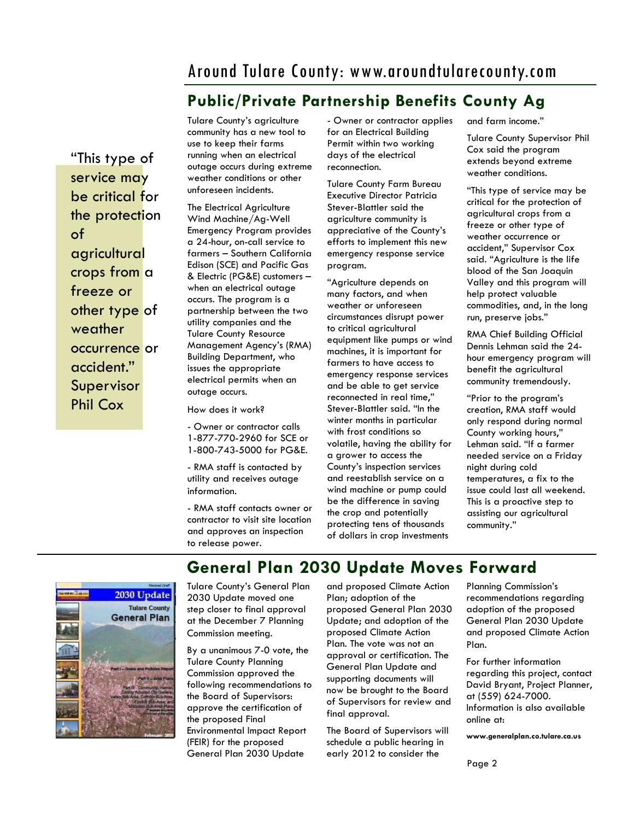## Around Tulare County: www.aroundtularecounty.com

## **Public/Private Partnership Benefits County Ag**

"This type of service may be critical for the protection of agricultural crops from a freeze or other type of weather occurrence or accident." Supervisor Phil Cox

Tulare County's agriculture community has a new tool to use to keep their farms running when an electrical outage occurs during extreme weather conditions or other unforeseen incidents.

The Electrical Agriculture Wind Machine/Ag-Well Emergency Program provides a 24-hour, on-call service to farmers – Southern California Edison (SCE) and Pacific Gas & Electric (PG&E) customers – when an electrical outage occurs. The program is a partnership between the two utility companies and the Tulare County Resource Management Agency's (RMA) Building Department, who issues the appropriate electrical permits when an outage occurs.

How does it work?

- Owner or contractor calls 1-877-770-2960 for SCE or 1-800-743-5000 for PG&E.

- RMA staff is contacted by utility and receives outage information.

- RMA staff contacts owner or contractor to visit site location and approves an inspection to release power.

- Owner or contractor applies for an Electrical Building Permit within two working days of the electrical reconnection.

Tulare County Farm Bureau Executive Director Patricia Stever-Blattler said the agriculture community is appreciative of the County's efforts to implement this new emergency response service program.

"Agriculture depends on many factors, and when weather or unforeseen circumstances disrupt power to critical agricultural equipment like pumps or wind machines, it is important for farmers to have access to emergency response services and be able to get service reconnected in real time," Stever-Blattler said. "In the winter months in particular with frost conditions so volatile, having the ability for a grower to access the County's inspection services and reestablish service on a wind machine or pump could be the difference in saving the crop and potentially protecting tens of thousands of dollars in crop investments

and farm income."

Tulare County Supervisor Phil Cox said the program extends beyond extreme weather conditions.

"This type of service may be critical for the protection of agricultural crops from a freeze or other type of weather occurrence or accident," Supervisor Cox said. "Agriculture is the life blood of the San Joaquin Valley and this program will help protect valuable commodities, and, in the long run, preserve jobs."

RMA Chief Building Official Dennis Lehman said the 24 hour emergency program will benefit the agricultural community tremendously.

"Prior to the program's creation, RMA staff would only respond during normal County working hours," Lehman said. "If a farmer needed service on a Friday night during cold temperatures, a fix to the issue could last all weekend. This is a proactive step to assisting our agricultural community."



Tulare County's General Plan 2030 Update moved one step closer to final approval at the December 7 Planning Commission meeting.

By a unanimous 7-0 vote, the Tulare County Planning Commission approved the following recommendations to the Board of Supervisors: approve the certification of the proposed Final Environmental Impact Report (FEIR) for the proposed General Plan 2030 Update

and proposed Climate Action Plan; adoption of the proposed General Plan 2030 Update; and adoption of the proposed Climate Action Plan. The vote was not an approval or certification. The General Plan Update and supporting documents will now be brought to the Board of Supervisors for review and final approval.

**General Plan 2030 Update Moves Forward** 

The Board of Supervisors will schedule a public hearing in early 2012 to consider the

Planning Commission's recommendations regarding adoption of the proposed General Plan 2030 Update and proposed Climate Action Plan.

For further information regarding this project, contact David Bryant, Project Planner, at (559) 624-7000. Information is also available online at:

**www.generalplan.co.tulare.ca.us**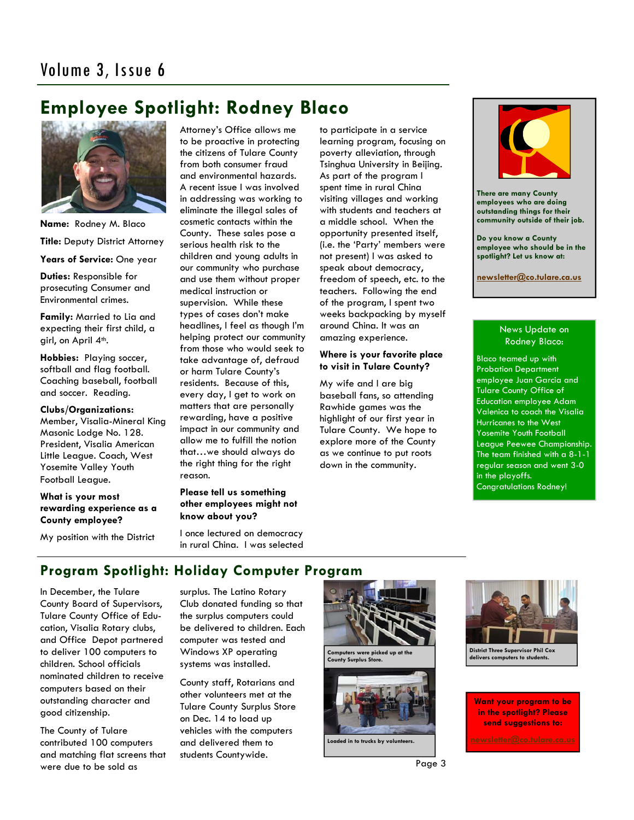## **Employee Spotlight: Rodney Blaco**



**Name:** Rodney M. Blaco **Title:** Deputy District Attorney **Years of Service:** One year **Duties:** Responsible for

prosecuting Consumer and Environmental crimes.

**Family:** Married to Lia and expecting their first child, a girl, on April 4<sup>th</sup>.

**Hobbies:** Playing soccer, softball and flag football. Coaching baseball, football and soccer. Reading.

#### **Clubs/Organizations:**  Member, Visalia-Mineral King Masonic Lodge No. 128. President, Visalia American Little League. Coach, West Yosemite Valley Youth Football League.

#### **What is your most rewarding experience as a County employee?**

My position with the District

Attorney's Office allows me to be proactive in protecting the citizens of Tulare County from both consumer fraud and environmental hazards. A recent issue I was involved in addressing was working to eliminate the illegal sales of cosmetic contacts within the County. These sales pose a serious health risk to the children and young adults in our community who purchase and use them without proper medical instruction or supervision. While these types of cases don't make headlines, I feel as though I'm helping protect our community from those who would seek to take advantage of, defraud or harm Tulare County's residents. Because of this, every day, I get to work on matters that are personally rewarding, have a positive impact in our community and allow me to fulfill the notion that…we should always do the right thing for the right reason.

#### **Please tell us something other employees might not know about you?**

I once lectured on democracy in rural China. I was selected

to participate in a service learning program, focusing on poverty alleviation, through Tsinghua University in Beijing. As part of the program I spent time in rural China visiting villages and working with students and teachers at a middle school. When the opportunity presented itself, (i.e. the 'Party' members were not present) I was asked to speak about democracy, freedom of speech, etc. to the teachers. Following the end of the program, I spent two weeks backpacking by myself around China. It was an amazing experience.

#### **Where is your favorite place to visit in Tulare County?**

My wife and I are big baseball fans, so attending Rawhide games was the highlight of our first year in Tulare County. We hope to explore more of the County as we continue to put roots down in the community.



**There are many County employees who are doing outstanding things for their community outside of their job.** 

**Do you know a County employee who should be in the spotlight? Let us know at:** 

**[newsletter@co.tulare.ca.us](mailto:newsletter@co.tulare.ca.us?subject=Employee%20spotlight)**

#### News Update on Rodney Blaco:

Blaco teamed up with Probation Department employee Juan Garcia and Tulare County Office of Education employee Adam Valenica to coach the Visalia Hurricanes to the West Yosemite Youth Football League Peewee Championship. The team finished with a 8-1-1 regular season and went 3-0 in the playoffs. Congratulations Rodney!

## **Program Spotlight: Holiday Computer Program**

In December, the Tulare County Board of Supervisors, Tulare County Office of Education, Visalia Rotary clubs, and Office Depot partnered to deliver 100 computers to children. School officials nominated children to receive computers based on their outstanding character and good citizenship.

The County of Tulare contributed 100 computers and matching flat screens that were due to be sold as

surplus. The Latino Rotary Club donated funding so that the surplus computers could be delivered to children. Each computer was tested and Windows XP operating systems was installed.

County staff, Rotarians and other volunteers met at the Tulare County Surplus Store on Dec. 14 to load up vehicles with the computers and delivered them to students Countywide.





**Loaded in to trucks by volunteers.** 



**District Three Supervisor Phil Cox delivers computers to students.** 

**Want your program to be in the spotlight? Please send suggestions to:**